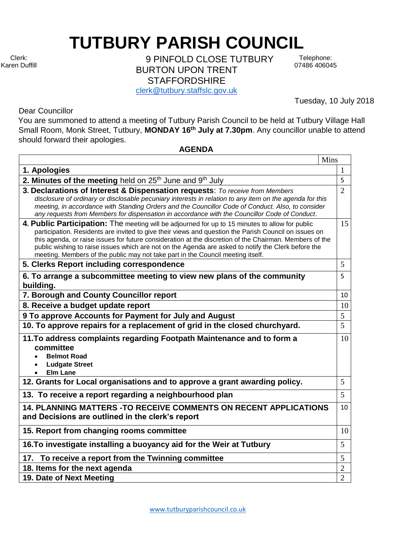**TUTBURY PARISH COUNCIL** 

Clerk: Karen Duffill

9 PINFOLD CLOSE TUTBURY BURTON UPON TRENT **STAFFORDSHIRE** 

Telephone: 07486 406045

Tuesday, 10 July 2018

[clerk@tutbury.staffslc.gov.uk](mailto:clerk@tutbury.staffslc.gov.uk)

Dear Councillor

You are summoned to attend a meeting of Tutbury Parish Council to be held at Tutbury Village Hall Small Room, Monk Street, Tutbury, **MONDAY 16th July at 7.30pm**. Any councillor unable to attend should forward their apologies.

## **AGENDA**

|                                                                                                                                                                                                                                                                                                                                                                                                                                                                                                               | Mins           |
|---------------------------------------------------------------------------------------------------------------------------------------------------------------------------------------------------------------------------------------------------------------------------------------------------------------------------------------------------------------------------------------------------------------------------------------------------------------------------------------------------------------|----------------|
| 1. Apologies                                                                                                                                                                                                                                                                                                                                                                                                                                                                                                  | 1              |
| 2. Minutes of the meeting held on $25th$ June and $9th$ July                                                                                                                                                                                                                                                                                                                                                                                                                                                  | 5              |
| 3. Declarations of Interest & Dispensation requests: To receive from Members<br>disclosure of ordinary or disclosable pecuniary interests in relation to any item on the agenda for this<br>meeting, in accordance with Standing Orders and the Councillor Code of Conduct. Also, to consider<br>any requests from Members for dispensation in accordance with the Councillor Code of Conduct.                                                                                                                | $\overline{2}$ |
| 4. Public Participation: The meeting will be adjourned for up to 15 minutes to allow for public<br>participation. Residents are invited to give their views and question the Parish Council on issues on<br>this agenda, or raise issues for future consideration at the discretion of the Chairman. Members of the<br>public wishing to raise issues which are not on the Agenda are asked to notify the Clerk before the<br>meeting. Members of the public may not take part in the Council meeting itself. | 15             |
| 5. Clerks Report including correspondence                                                                                                                                                                                                                                                                                                                                                                                                                                                                     | 5              |
| 6. To arrange a subcommittee meeting to view new plans of the community<br>building.                                                                                                                                                                                                                                                                                                                                                                                                                          | 5              |
| 7. Borough and County Councillor report                                                                                                                                                                                                                                                                                                                                                                                                                                                                       | 10             |
| 8. Receive a budget update report                                                                                                                                                                                                                                                                                                                                                                                                                                                                             | 10             |
| 9 To approve Accounts for Payment for July and August                                                                                                                                                                                                                                                                                                                                                                                                                                                         | 5              |
| 10. To approve repairs for a replacement of grid in the closed churchyard.                                                                                                                                                                                                                                                                                                                                                                                                                                    | 5              |
| 11. To address complaints regarding Footpath Maintenance and to form a<br>committee<br><b>Belmot Road</b><br><b>Ludgate Street</b><br><b>Elm Lane</b>                                                                                                                                                                                                                                                                                                                                                         | 10             |
| 12. Grants for Local organisations and to approve a grant awarding policy.                                                                                                                                                                                                                                                                                                                                                                                                                                    | 5              |
| 13. To receive a report regarding a neighbourhood plan                                                                                                                                                                                                                                                                                                                                                                                                                                                        | 5              |
| 14. PLANNING MATTERS - TO RECEIVE COMMENTS ON RECENT APPLICATIONS<br>and Decisions are outlined in the clerk's report                                                                                                                                                                                                                                                                                                                                                                                         | 10             |
| 15. Report from changing rooms committee                                                                                                                                                                                                                                                                                                                                                                                                                                                                      | 10             |
| 16. To investigate installing a buoyancy aid for the Weir at Tutbury                                                                                                                                                                                                                                                                                                                                                                                                                                          | 5              |
| 17. To receive a report from the Twinning committee                                                                                                                                                                                                                                                                                                                                                                                                                                                           | 5              |
| 18. Items for the next agenda                                                                                                                                                                                                                                                                                                                                                                                                                                                                                 | $\mathbf{2}$   |
| 19. Date of Next Meeting                                                                                                                                                                                                                                                                                                                                                                                                                                                                                      | $\overline{2}$ |